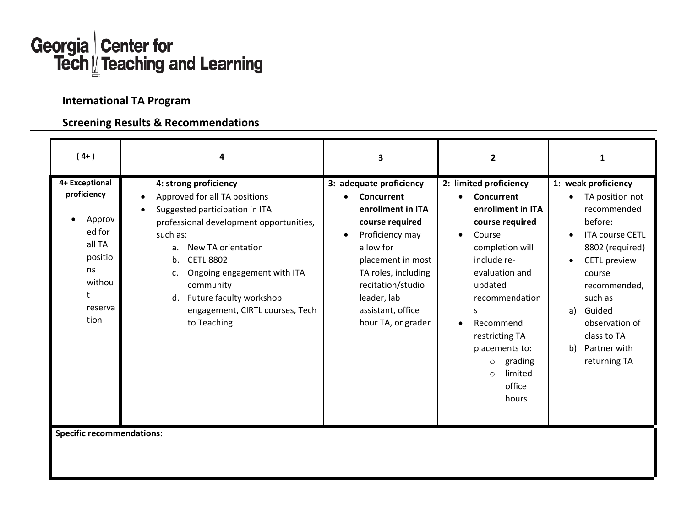

## **International TA Program**

## **Screening Results & Recommendations**

| $(4+)$                                                                                                         | 4                                                                                                                                                                                                                                                                                                                                          | 3                                                                                                                                                                                                                                                     | $\overline{2}$                                                                                                                                                                                                                                                                                                                      | 1                                                                                                                                                                                                                                                                                                       |
|----------------------------------------------------------------------------------------------------------------|--------------------------------------------------------------------------------------------------------------------------------------------------------------------------------------------------------------------------------------------------------------------------------------------------------------------------------------------|-------------------------------------------------------------------------------------------------------------------------------------------------------------------------------------------------------------------------------------------------------|-------------------------------------------------------------------------------------------------------------------------------------------------------------------------------------------------------------------------------------------------------------------------------------------------------------------------------------|---------------------------------------------------------------------------------------------------------------------------------------------------------------------------------------------------------------------------------------------------------------------------------------------------------|
| 4+ Exceptional<br>proficiency<br>Approv<br>ed for<br>all TA<br>positio<br>ns<br>withou<br>t<br>reserva<br>tion | 4: strong proficiency<br>Approved for all TA positions<br>Suggested participation in ITA<br>professional development opportunities,<br>such as:<br>New TA orientation<br>a.<br><b>CETL 8802</b><br>b.<br>Ongoing engagement with ITA<br>c.<br>community<br>Future faculty workshop<br>d.<br>engagement, CIRTL courses, Tech<br>to Teaching | 3: adequate proficiency<br>Concurrent<br>enrollment in ITA<br>course required<br>Proficiency may<br>$\bullet$<br>allow for<br>placement in most<br>TA roles, including<br>recitation/studio<br>leader, lab<br>assistant, office<br>hour TA, or grader | 2: limited proficiency<br>Concurrent<br>$\bullet$<br>enrollment in ITA<br>course required<br>Course<br>$\bullet$<br>completion will<br>include re-<br>evaluation and<br>updated<br>recommendation<br>S<br>Recommend<br>$\bullet$<br>restricting TA<br>placements to:<br>grading<br>$\circ$<br>limited<br>$\circ$<br>office<br>hours | 1: weak proficiency<br>TA position not<br>$\bullet$<br>recommended<br>before:<br><b>ITA course CETL</b><br>$\bullet$<br>8802 (required)<br><b>CETL</b> preview<br>$\bullet$<br>course<br>recommended,<br>such as<br>Guided<br>a)<br>observation of<br>class to TA<br>Partner with<br>b)<br>returning TA |
| <b>Specific recommendations:</b>                                                                               |                                                                                                                                                                                                                                                                                                                                            |                                                                                                                                                                                                                                                       |                                                                                                                                                                                                                                                                                                                                     |                                                                                                                                                                                                                                                                                                         |